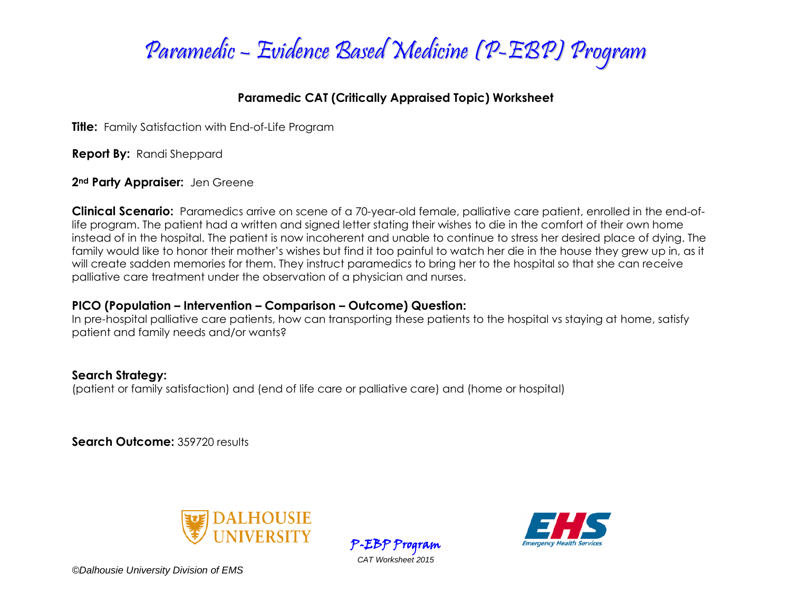

### **Paramedic CAT (Critically Appraised Topic) Worksheet**

**Title:** Family Satisfaction with End-of-Life Program

**Report By:** Randi Sheppard

**2nd Party Appraiser:** Jen Greene

**Clinical Scenario:** Paramedics arrive on scene of a 70-year-old female, palliative care patient, enrolled in the end-oflife program. The patient had a written and signed letter stating their wishes to die in the comfort of their own home instead of in the hospital. The patient is now incoherent and unable to continue to stress her desired place of dying. The family would like to honor their mother's wishes but find it too painful to watch her die in the house they grew up in, as it will create sadden memories for them. They instruct paramedics to bring her to the hospital so that she can receive palliative care treatment under the observation of a physician and nurses.

### **PICO (Population – Intervention – Comparison – Outcome) Question:**

In pre-hospital palliative care patients, how can transporting these patients to the hospital vs staying at home, satisfy patient and family needs and/or wants?

### **Search Strategy:**

(patient or family satisfaction) and (end of life care or palliative care) and (home or hospital)

**Search Outcome:** 359720 results





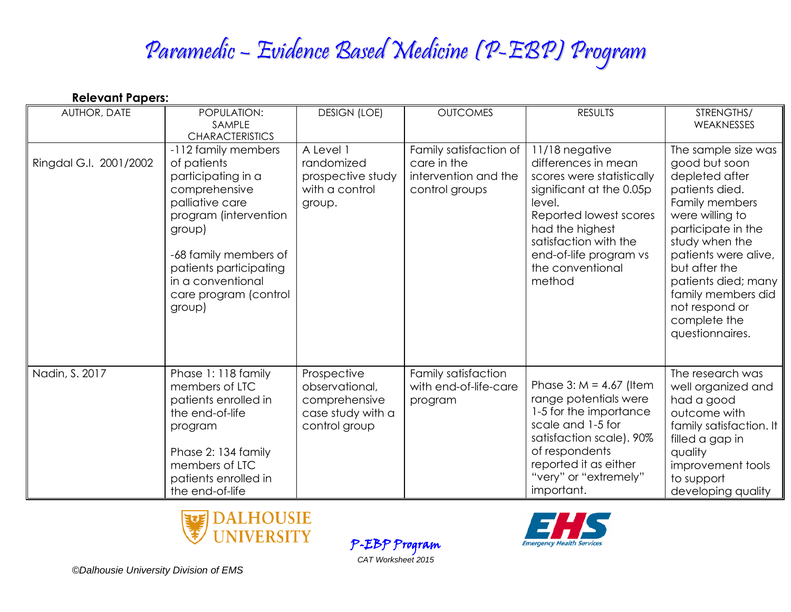# Paramedic – Evidence Based Medicine (P-EBP) Program

| <b>Relevant Papers:</b> |                                                                                                                                                                                                                                            |                                                                                      |                                                                                 |                                                                                                                                                                                                                                        |                                                                                                                                                                                                                                                                                                  |  |
|-------------------------|--------------------------------------------------------------------------------------------------------------------------------------------------------------------------------------------------------------------------------------------|--------------------------------------------------------------------------------------|---------------------------------------------------------------------------------|----------------------------------------------------------------------------------------------------------------------------------------------------------------------------------------------------------------------------------------|--------------------------------------------------------------------------------------------------------------------------------------------------------------------------------------------------------------------------------------------------------------------------------------------------|--|
| AUTHOR, DATE            | POPULATION:<br>SAMPLE<br><b>CHARACTERISTICS</b>                                                                                                                                                                                            | <b>DESIGN (LOE)</b>                                                                  | <b>OUTCOMES</b>                                                                 | <b>RESULTS</b>                                                                                                                                                                                                                         | STRENGTHS/<br>WEAKNESSES                                                                                                                                                                                                                                                                         |  |
| Ringdal G.I. 2001/2002  | -112 family members<br>of patients<br>participating in a<br>comprehensive<br>palliative care<br>program (intervention<br>group)<br>-68 family members of<br>patients participating<br>in a conventional<br>care program (control<br>group) | A Level 1<br>randomized<br>prospective study<br>with a control<br>group.             | Family satisfaction of<br>care in the<br>intervention and the<br>control groups | 11/18 negative<br>differences in mean<br>scores were statistically<br>significant at the 0.05p<br>level.<br>Reported lowest scores<br>had the highest<br>satisfaction with the<br>end-of-life program vs<br>the conventional<br>method | The sample size was<br>good but soon<br>depleted after<br>patients died.<br>Family members<br>were willing to<br>participate in the<br>study when the<br>patients were alive,<br>but after the<br>patients died; many<br>family members did<br>not respond or<br>complete the<br>questionnaires. |  |
| Nadin, S. 2017          | Phase 1: 118 family<br>members of LTC<br>patients enrolled in<br>the end-of-life<br>program<br>Phase 2: 134 family<br>members of LTC<br>patients enrolled in<br>the end-of-life                                                            | Prospective<br>observational,<br>comprehensive<br>case study with a<br>control group | Family satisfaction<br>with end-of-life-care<br>program                         | Phase 3: $M = 4.67$ (Item<br>range potentials were<br>1-5 for the importance<br>scale and 1-5 for<br>satisfaction scale). 90%<br>of respondents<br>reported it as either<br>"very" or "extremely"<br>important.                        | The research was<br>well organized and<br>had a good<br>outcome with<br>family satisfaction. It<br>filled a gap in<br>quality<br>improvement tools<br>to support<br>developing quality                                                                                                           |  |

P-EBP Program *CAT Worksheet 2015*



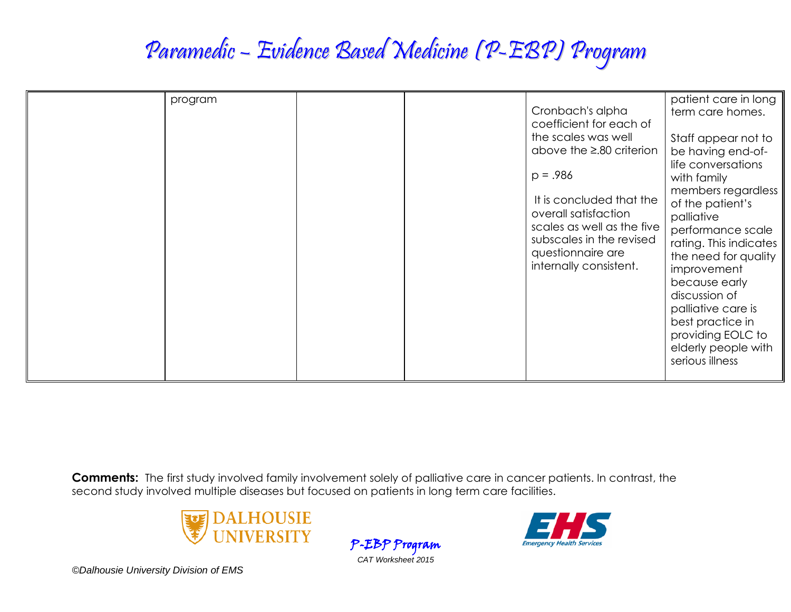## Paramedic – Evidence Based Medicine (P-EBP) Program

| program | patient care in long<br>Cronbach's alpha<br>term care homes.<br>coefficient for each of<br>the scales was well<br>Staff appear not to<br>above the $\geq$ .80 criterion<br>be having end-of-<br>life conversations<br>$p = .986$<br>with family<br>members regardless<br>It is concluded that the<br>of the patient's<br>overall satisfaction<br>palliative<br>scales as well as the five<br>performance scale<br>subscales in the revised<br>rating. This indicates<br>questionnaire are<br>the need for quality<br>internally consistent.<br>improvement<br>because early<br>discussion of<br>palliative care is<br>best practice in<br>providing EOLC to<br>elderly people with |
|---------|------------------------------------------------------------------------------------------------------------------------------------------------------------------------------------------------------------------------------------------------------------------------------------------------------------------------------------------------------------------------------------------------------------------------------------------------------------------------------------------------------------------------------------------------------------------------------------------------------------------------------------------------------------------------------------|
|---------|------------------------------------------------------------------------------------------------------------------------------------------------------------------------------------------------------------------------------------------------------------------------------------------------------------------------------------------------------------------------------------------------------------------------------------------------------------------------------------------------------------------------------------------------------------------------------------------------------------------------------------------------------------------------------------|

**Comments:** The first study involved family involvement solely of palliative care in cancer patients. In contrast, the second study involved multiple diseases but focused on patients in long term care facilities.



P-EBP Program *CAT Worksheet 2015*